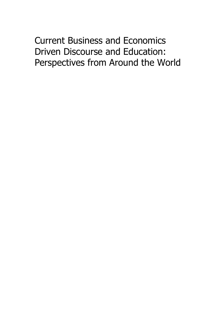# Current Business and Economics Driven Discourse and Education: Perspectives from Around the World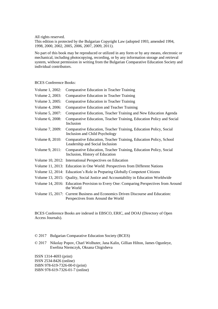All rights reserved.

This edition is protected by the Bulgarian Copyright Law (adopted 1993, amended 1994, 1998, 2000, 2002, 2005, 2006, 2007, 2009, 2011).

No part of this book may be reproduced or utilized in any form or by any means, electronic or mechanical, including photocopying, recording, or by any information storage and retrieval system, without permission in writing from the Bulgarian Comparative Education Society and individual contributors.

### BCES Conference Books:

| Volume 1, 2002: | Comparative Education in Teacher Training                                                                             |
|-----------------|-----------------------------------------------------------------------------------------------------------------------|
| Volume 2, 2003: | Comparative Education in Teacher Training                                                                             |
| Volume 3, 2005: | Comparative Education in Teacher Training                                                                             |
| Volume 4, 2006: | Comparative Education and Teacher Training                                                                            |
| Volume 5, 2007: | Comparative Education, Teacher Training and New Education Agenda                                                      |
| Volume 6, 2008: | Comparative Education, Teacher Training, Education Policy and Social<br>Inclusion                                     |
| Volume 7, 2009: | Comparative Education, Teacher Training, Education Policy, Social<br>Inclusion and Child Psychology                   |
| Volume 8, 2010: | Comparative Education, Teacher Training, Education Policy, School<br>Leadership and Social Inclusion                  |
| Volume 9, 2011: | Comparative Education, Teacher Training, Education Policy, Social<br>Inclusion, History of Education                  |
|                 | Volume 10, 2012: International Perspectives on Education                                                              |
|                 | Volume 11, 2013: Education in One World: Perspectives from Different Nations                                          |
|                 | Volume 12, 2014: Education's Role in Preparing Globally Competent Citizens                                            |
|                 | Volume 13, 2015: Quality, Social Justice and Accountability in Education Worldwide                                    |
|                 | Volume 14, 2016: Education Provision to Every One: Comparing Perspectives from Around<br>the World                    |
|                 | Volume 15, 2017: Current Business and Economics Driven Discourse and Education:<br>Perspectives from Around the World |

BCES Conference Books are indexed in EBSCO, ERIC, and DOAJ (Directory of Open Access Journals).

#### © 2017 Bulgarian Comparative Education Society (BCES)

© 2017 Nikolay Popov, Charl Wolhuter, Jana Kalin, Gillian Hilton, James Ogunleye, Ewelina Niemczyk, Oksana Chigisheva

ISSN 1314-4693 (print) ISSN 2534-8426 (online) ISBN 978-619-7326-00-0 (print) ISBN 978-619-7326-01-7 (online)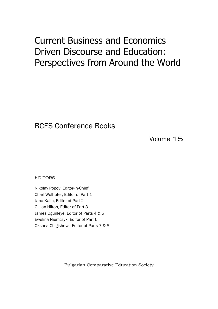## Current Business and Economics Driven Discourse and Education: Perspectives from Around the World

### BCES Conference Books

Volume 15

**FDITORS** 

Nikolay Popov, Editor-in-Chief Charl Wolhuter, Editor of Part 1 Jana Kalin, Editor of Part 2 Gillian Hilton, Editor of Part 3 James Ogunleye, Editor of Parts 4 & 5 Ewelina Niemczyk, Editor of Part 6 Oksana Chigisheva, Editor of Parts 7 & 8

Bulgarian Comparative Education Society